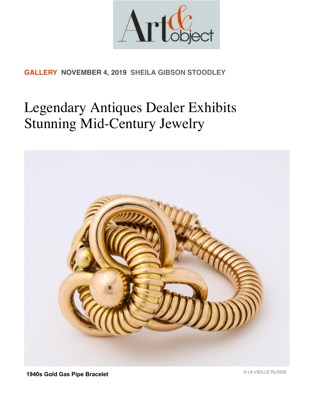

## **[GALLERY](https://www.artandobject.com/gallery-news) NOVEMBER 4, 2019 [SHEILA GIBSON STOODLEY](https://www.artandobject.com/authors/sheila-gibson-stoodley)**

## Legendary Antiques Dealer Exhibits Stunning Mid-Century Jewelry



**1940s Gold Gas Pipe Bracelet 1940s Gold Gas Pipe Bracelet**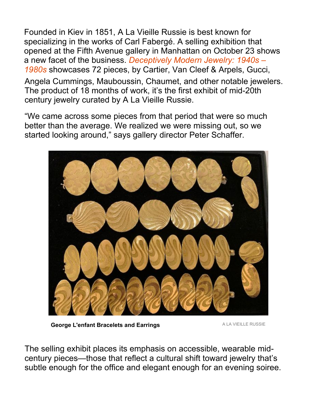Founded in Kiev in 1851, A La Vieille Russie is best known for specializing in the works of Carl Fabergé. A selling exhibition that opened at the Fifth Avenue gallery in Manhattan on October 23 shows a new facet of the business. *Deceptively Modern Jewelry: 1940s – 1980s* showcases 72 pieces, by Cartier, Van Cleef & Arpels, Gucci,

Angela Cummings, Mauboussin, Chaumet, and other notable jewelers. The product of 18 months of work, it's the first exhibit of mid-20th century jewelry curated by A La Vieille Russie.

"We came across some pieces from that period that were so much better than the average. We realized we were missing out, so we started looking around," says gallery director Peter Schaffer.



**George L'enfant Bracelets and Earrings ALA VIEILLE RUSSIE** 

The selling exhibit places its emphasis on accessible, wearable midcentury pieces—those that reflect a cultural shift toward jewelry that's subtle enough for the office and elegant enough for an evening soiree.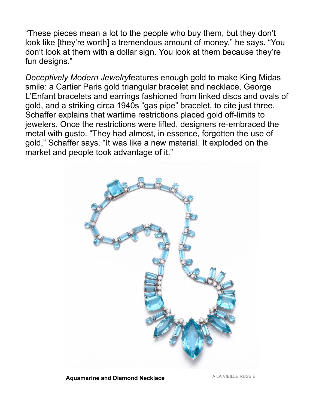"These pieces mean a lot to the people who buy them, but they don't look like [they're worth] a tremendous amount of money," he says. "You don't look at them with a dollar sign. You look at them because they're fun designs."

*Deceptively Modern Jewelry*features enough gold to make King Midas smile: a Cartier Paris gold triangular bracelet and necklace, George L'Enfant bracelets and earrings fashioned from linked discs and ovals of gold, and a striking circa 1940s "gas pipe" bracelet, to cite just three. Schaffer explains that wartime restrictions placed gold off-limits to jewelers. Once the restrictions were lifted, designers re-embraced the metal with gusto. "They had almost, in essence, forgotten the use of gold," Schaffer says. "It was like a new material. It exploded on the market and people took advantage of it."